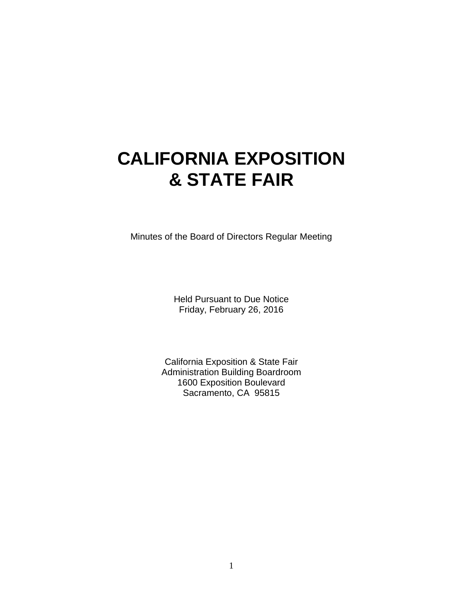# **CALIFORNIA EXPOSITION & STATE FAIR**

Minutes of the Board of Directors Regular Meeting

Held Pursuant to Due Notice Friday, February 26, 2016

California Exposition & State Fair Administration Building Boardroom 1600 Exposition Boulevard Sacramento, CA 95815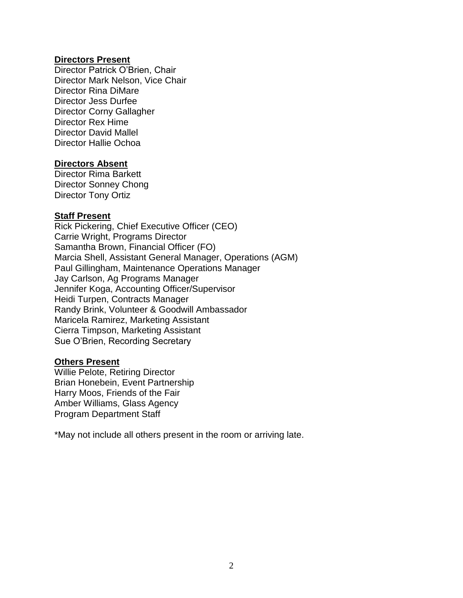#### **Directors Present**

Director Patrick O'Brien, Chair Director Mark Nelson, Vice Chair Director Rina DiMare Director Jess Durfee Director Corny Gallagher Director Rex Hime Director David Mallel Director Hallie Ochoa

#### **Directors Absent**

Director Rima Barkett Director Sonney Chong Director Tony Ortiz

#### **Staff Present**

Rick Pickering, Chief Executive Officer (CEO) Carrie Wright, Programs Director Samantha Brown, Financial Officer (FO) Marcia Shell, Assistant General Manager, Operations (AGM) Paul Gillingham, Maintenance Operations Manager Jay Carlson, Ag Programs Manager Jennifer Koga, Accounting Officer/Supervisor Heidi Turpen, Contracts Manager Randy Brink, Volunteer & Goodwill Ambassador Maricela Ramirez, Marketing Assistant Cierra Timpson, Marketing Assistant Sue O'Brien, Recording Secretary

#### **Others Present**

Willie Pelote, Retiring Director Brian Honebein, Event Partnership Harry Moos, Friends of the Fair Amber Williams, Glass Agency Program Department Staff

\*May not include all others present in the room or arriving late.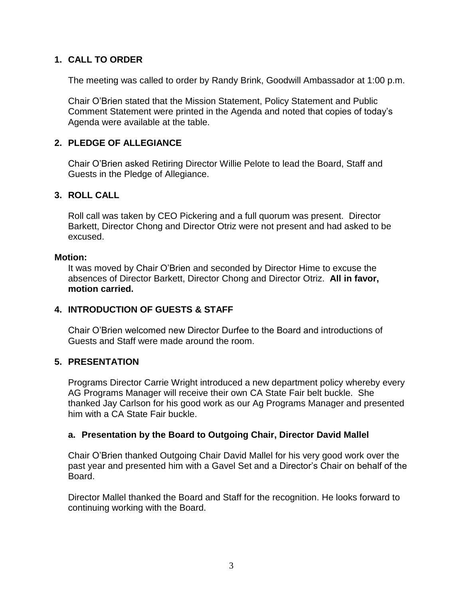## **1. CALL TO ORDER**

The meeting was called to order by Randy Brink, Goodwill Ambassador at 1:00 p.m.

Chair O'Brien stated that the Mission Statement, Policy Statement and Public Comment Statement were printed in the Agenda and noted that copies of today's Agenda were available at the table.

## **2. PLEDGE OF ALLEGIANCE**

Chair O'Brien asked Retiring Director Willie Pelote to lead the Board, Staff and Guests in the Pledge of Allegiance.

### **3. ROLL CALL**

Roll call was taken by CEO Pickering and a full quorum was present. Director Barkett, Director Chong and Director Otriz were not present and had asked to be excused.

#### **Motion:**

It was moved by Chair O'Brien and seconded by Director Hime to excuse the absences of Director Barkett, Director Chong and Director Otriz. **All in favor, motion carried.**

### **4. INTRODUCTION OF GUESTS & STAFF**

Chair O'Brien welcomed new Director Durfee to the Board and introductions of Guests and Staff were made around the room.

## **5. PRESENTATION**

Programs Director Carrie Wright introduced a new department policy whereby every AG Programs Manager will receive their own CA State Fair belt buckle. She thanked Jay Carlson for his good work as our Ag Programs Manager and presented him with a CA State Fair buckle.

### **a. Presentation by the Board to Outgoing Chair, Director David Mallel**

Chair O'Brien thanked Outgoing Chair David Mallel for his very good work over the past year and presented him with a Gavel Set and a Director's Chair on behalf of the Board.

Director Mallel thanked the Board and Staff for the recognition. He looks forward to continuing working with the Board.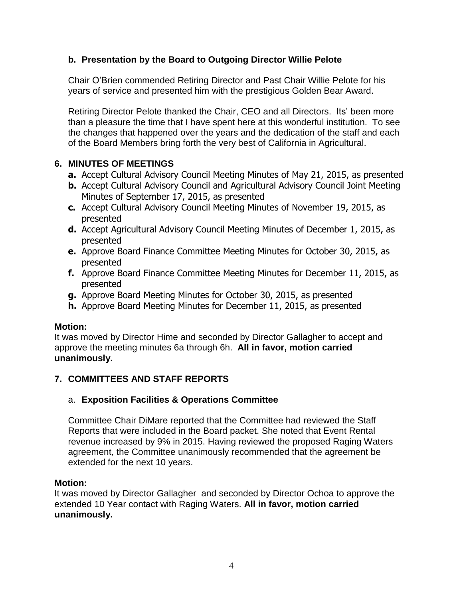## **b. Presentation by the Board to Outgoing Director Willie Pelote**

Chair O'Brien commended Retiring Director and Past Chair Willie Pelote for his years of service and presented him with the prestigious Golden Bear Award.

Retiring Director Pelote thanked the Chair, CEO and all Directors. Its' been more than a pleasure the time that I have spent here at this wonderful institution. To see the changes that happened over the years and the dedication of the staff and each of the Board Members bring forth the very best of California in Agricultural.

## **6. MINUTES OF MEETINGS**

- **a.** Accept Cultural Advisory Council Meeting Minutes of May 21, 2015, as presented
- **b.** Accept Cultural Advisory Council and Agricultural Advisory Council Joint Meeting Minutes of September 17, 2015, as presented
- **c.** Accept Cultural Advisory Council Meeting Minutes of November 19, 2015, as presented
- **d.** Accept Agricultural Advisory Council Meeting Minutes of December 1, 2015, as presented
- **e.** Approve Board Finance Committee Meeting Minutes for October 30, 2015, as presented
- **f.** Approve Board Finance Committee Meeting Minutes for December 11, 2015, as presented
- **g.** Approve Board Meeting Minutes for October 30, 2015, as presented
- **h.** Approve Board Meeting Minutes for December 11, 2015, as presented

## **Motion:**

It was moved by Director Hime and seconded by Director Gallagher to accept and approve the meeting minutes 6a through 6h. **All in favor, motion carried unanimously.**

# **7. COMMITTEES AND STAFF REPORTS**

## a. **Exposition Facilities & Operations Committee**

Committee Chair DiMare reported that the Committee had reviewed the Staff Reports that were included in the Board packet. She noted that Event Rental revenue increased by 9% in 2015. Having reviewed the proposed Raging Waters agreement, the Committee unanimously recommended that the agreement be extended for the next 10 years.

## **Motion:**

It was moved by Director Gallagher and seconded by Director Ochoa to approve the extended 10 Year contact with Raging Waters. **All in favor, motion carried unanimously.**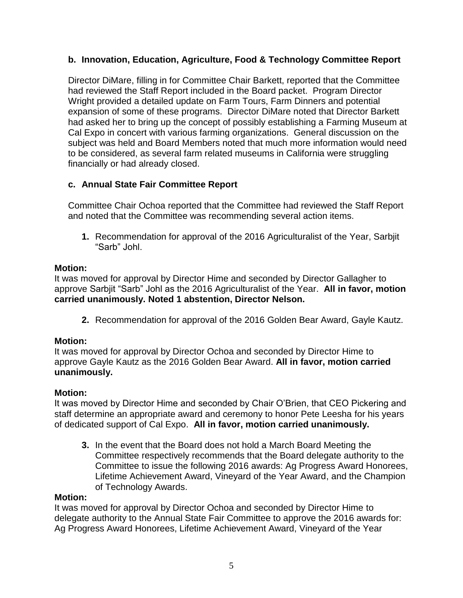## **b. Innovation, Education, Agriculture, Food & Technology Committee Report**

Director DiMare, filling in for Committee Chair Barkett, reported that the Committee had reviewed the Staff Report included in the Board packet. Program Director Wright provided a detailed update on Farm Tours, Farm Dinners and potential expansion of some of these programs. Director DiMare noted that Director Barkett had asked her to bring up the concept of possibly establishing a Farming Museum at Cal Expo in concert with various farming organizations. General discussion on the subject was held and Board Members noted that much more information would need to be considered, as several farm related museums in California were struggling financially or had already closed.

## **c. Annual State Fair Committee Report**

Committee Chair Ochoa reported that the Committee had reviewed the Staff Report and noted that the Committee was recommending several action items.

**1.** Recommendation for approval of the 2016 Agriculturalist of the Year, Sarbjit "Sarb" Johl.

## **Motion:**

It was moved for approval by Director Hime and seconded by Director Gallagher to approve Sarbjit "Sarb" Johl as the 2016 Agriculturalist of the Year. **All in favor, motion carried unanimously. Noted 1 abstention, Director Nelson.**

**2.** Recommendation for approval of the 2016 Golden Bear Award, Gayle Kautz.

## **Motion:**

It was moved for approval by Director Ochoa and seconded by Director Hime to approve Gayle Kautz as the 2016 Golden Bear Award. **All in favor, motion carried unanimously.**

### **Motion:**

It was moved by Director Hime and seconded by Chair O'Brien, that CEO Pickering and staff determine an appropriate award and ceremony to honor Pete Leesha for his years of dedicated support of Cal Expo. **All in favor, motion carried unanimously.**

**3.** In the event that the Board does not hold a March Board Meeting the Committee respectively recommends that the Board delegate authority to the Committee to issue the following 2016 awards: Ag Progress Award Honorees, Lifetime Achievement Award, Vineyard of the Year Award, and the Champion of Technology Awards.

## **Motion:**

It was moved for approval by Director Ochoa and seconded by Director Hime to delegate authority to the Annual State Fair Committee to approve the 2016 awards for: Ag Progress Award Honorees, Lifetime Achievement Award, Vineyard of the Year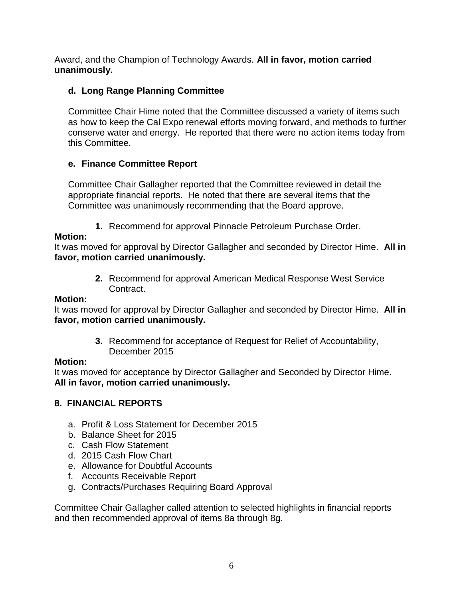Award, and the Champion of Technology Awards. **All in favor, motion carried unanimously.**

# **d. Long Range Planning Committee**

Committee Chair Hime noted that the Committee discussed a variety of items such as how to keep the Cal Expo renewal efforts moving forward, and methods to further conserve water and energy. He reported that there were no action items today from this Committee.

# **e. Finance Committee Report**

Committee Chair Gallagher reported that the Committee reviewed in detail the appropriate financial reports. He noted that there are several items that the Committee was unanimously recommending that the Board approve.

**1.** Recommend for approval Pinnacle Petroleum Purchase Order.

## **Motion:**

It was moved for approval by Director Gallagher and seconded by Director Hime. **All in favor, motion carried unanimously.**

> **2.** Recommend for approval American Medical Response West Service Contract.

## **Motion:**

It was moved for approval by Director Gallagher and seconded by Director Hime. **All in favor, motion carried unanimously.**

> **3.** Recommend for acceptance of Request for Relief of Accountability, December 2015

## **Motion:**

It was moved for acceptance by Director Gallagher and Seconded by Director Hime. **All in favor, motion carried unanimously.**

# **8. FINANCIAL REPORTS**

- a. Profit & Loss Statement for December 2015
- b. Balance Sheet for 2015
- c. Cash Flow Statement
- d. 2015 Cash Flow Chart
- e. Allowance for Doubtful Accounts
- f. Accounts Receivable Report
- g. Contracts/Purchases Requiring Board Approval

Committee Chair Gallagher called attention to selected highlights in financial reports and then recommended approval of items 8a through 8g.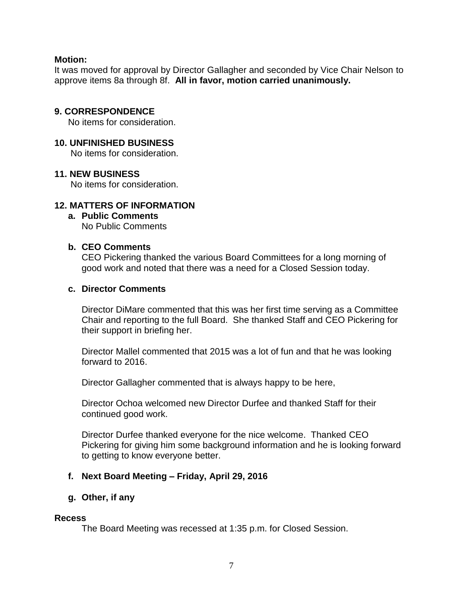#### **Motion:**

It was moved for approval by Director Gallagher and seconded by Vice Chair Nelson to approve items 8a through 8f. **All in favor, motion carried unanimously.**

### **9. CORRESPONDENCE**

No items for consideration.

## **10. UNFINISHED BUSINESS**

No items for consideration.

#### **11. NEW BUSINESS**

No items for consideration.

## **12. MATTERS OF INFORMATION**

**a. Public Comments** No Public Comments

### **b. CEO Comments**

CEO Pickering thanked the various Board Committees for a long morning of good work and noted that there was a need for a Closed Session today.

#### **c. Director Comments**

Director DiMare commented that this was her first time serving as a Committee Chair and reporting to the full Board. She thanked Staff and CEO Pickering for their support in briefing her.

Director Mallel commented that 2015 was a lot of fun and that he was looking forward to 2016.

Director Gallagher commented that is always happy to be here,

Director Ochoa welcomed new Director Durfee and thanked Staff for their continued good work.

Director Durfee thanked everyone for the nice welcome. Thanked CEO Pickering for giving him some background information and he is looking forward to getting to know everyone better.

### **f. Next Board Meeting – Friday, April 29, 2016**

### **g. Other, if any**

#### **Recess**

The Board Meeting was recessed at 1:35 p.m. for Closed Session.